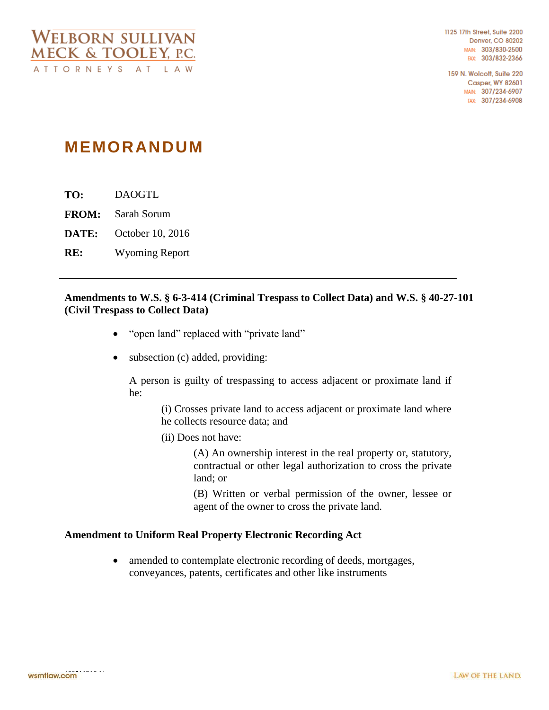1125 17th Street, Suite 2200 **Denver, CO 80202** MAIN: 303/830-2500 FAX: 303/832-2366

159 N. Wolcott, Suite 220 **Casper, WY 82601** MAIN: 307/234-6907 FAX: 307/234-6908

## **MEMORANDUM**

**TO:** DAOGTL

**FROM:** Sarah Sorum

**DATE:** October 10, 2016

**RE:** Wyoming Report

## **Amendments to W.S. § 6-3-414 (Criminal Trespass to Collect Data) and W.S. § 40-27-101 (Civil Trespass to Collect Data)**

- "open land" replaced with "private land"
- subsection (c) added, providing:

A person is guilty of trespassing to access adjacent or proximate land if he:

> (i) Crosses private land to access adjacent or proximate land where he collects resource data; and

(ii) Does not have:

(A) An ownership interest in the real property or, statutory, contractual or other legal authorization to cross the private land; or

(B) Written or verbal permission of the owner, lessee or agent of the owner to cross the private land.

## **Amendment to Uniform Real Property Electronic Recording Act**

• amended to contemplate electronic recording of deeds, mortgages, conveyances, patents, certificates and other like instruments